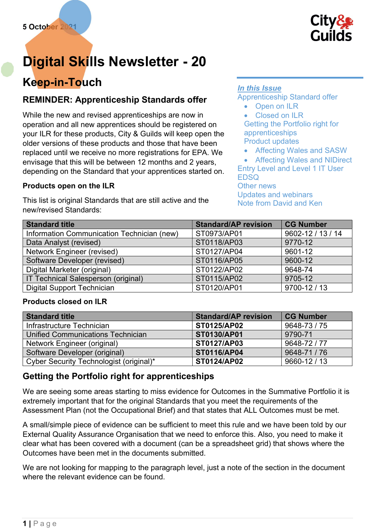

# Digital Skills Newsletter - 20

## Keep-in-Touch

## REMINDER: Apprenticeship Standards offer

While the new and revised apprenticeships are now in operation and all new apprentices should be registered on your ILR for these products, City & Guilds will keep open the older versions of these products and those that have been replaced until we receive no more registrations for EPA. We envisage that this will be between 12 months and 2 years, depending on the Standard that your apprentices started on.

#### Products open on the ILR

This list is original Standards that are still active and the new/revised Standards:

#### In this Issue

Apprenticeship Standard offer

- Open on ILR
- Closed on ILR

Getting the Portfolio right for apprenticeships Product updates

Affecting Wales and SASW

 Affecting Wales and NIDirect Entry Level and Level 1 IT User EDSQ

Other news Updates and webinars Note from David and Ken

| <b>Standard title</b>                      | <b>Standard/AP revision</b> | <b>CG Number</b>  |
|--------------------------------------------|-----------------------------|-------------------|
| Information Communication Technician (new) | ST0973/AP01                 | 9602-12 / 13 / 14 |
| Data Analyst (revised)                     | ST0118/AP03                 | 9770-12           |
| Network Engineer (revised)                 | ST0127/AP04                 | 9601-12           |
| Software Developer (revised)               | ST0116/AP05                 | 9600-12           |
| Digital Marketer (original)                | ST0122/AP02                 | 9648-74           |
| IT Technical Salesperson (original)        | ST0115/AP02                 | 9705-12           |
| <b>Digital Support Technician</b>          | ST0120/AP01                 | 9700-12 / 13      |

#### Products closed on ILR

| <b>Standard title</b>                   | <b>Standard/AP revision</b> | CG Number    |
|-----------------------------------------|-----------------------------|--------------|
| Infrastructure Technician               | <b>ST0125/AP02</b>          | 9648-73 / 75 |
| Unified Communications Technician       | ST0130/AP01                 | 9790-71      |
| Network Engineer (original)             | <b>ST0127/AP03</b>          | 9648-72 / 77 |
| Software Developer (original)           | <b>ST0116/AP04</b>          | 9648-71/76   |
| Cyber Security Technologist (original)* | ST0124/AP02                 | 9660-12 / 13 |

## Getting the Portfolio right for apprenticeships

We are seeing some areas starting to miss evidence for Outcomes in the Summative Portfolio it is extremely important that for the original Standards that you meet the requirements of the Assessment Plan (not the Occupational Brief) and that states that ALL Outcomes must be met.

A small/simple piece of evidence can be sufficient to meet this rule and we have been told by our External Quality Assurance Organisation that we need to enforce this. Also, you need to make it clear what has been covered with a document (can be a spreadsheet grid) that shows where the Outcomes have been met in the documents submitted.

We are not looking for mapping to the paragraph level, just a note of the section in the document where the relevant evidence can be found.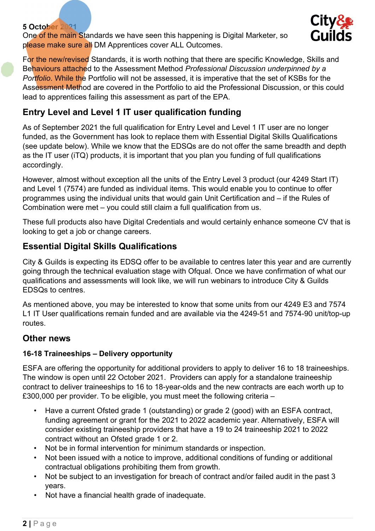#### 5 October 2021

One of the main Standards we have seen this happening is Digital Marketer, so please make sure all DM Apprentices cover ALL Outcomes.



For the new/revised Standards, it is worth nothing that there are specific Knowledge, Skills and Behaviours attached to the Assessment Method Professional Discussion underpinned by a Portfolio. While the Portfolio will not be assessed, it is imperative that the set of KSBs for the Assessment Method are covered in the Portfolio to aid the Professional Discussion, or this could lead to apprentices failing this assessment as part of the EPA.

## Entry Level and Level 1 IT user qualification funding

As of September 2021 the full qualification for Entry Level and Level 1 IT user are no longer funded, as the Government has look to replace them with Essential Digital Skills Qualifications (see update below). While we know that the EDSQs are do not offer the same breadth and depth as the IT user (iTQ) products, it is important that you plan you funding of full qualifications accordingly.

However, almost without exception all the units of the Entry Level 3 product (our 4249 Start IT) and Level 1 (7574) are funded as individual items. This would enable you to continue to offer programmes using the individual units that would gain Unit Certification and – if the Rules of Combination were met – you could still claim a full qualification from us.

These full products also have Digital Credentials and would certainly enhance someone CV that is looking to get a job or change careers.

## Essential Digital Skills Qualifications

City & Guilds is expecting its EDSQ offer to be available to centres later this year and are currently going through the technical evaluation stage with Ofqual. Once we have confirmation of what our qualifications and assessments will look like, we will run webinars to introduce City & Guilds EDSQs to centres.

As mentioned above, you may be interested to know that some units from our 4249 E3 and 7574 L1 IT User qualifications remain funded and are available via the 4249-51 and 7574-90 unit/top-up routes.

## Other news

## 16-18 Traineeships – Delivery opportunity

ESFA are offering the opportunity for additional providers to apply to deliver 16 to 18 traineeships. The window is open until 22 October 2021. Providers can apply for a standalone traineeship contract to deliver traineeships to 16 to 18-year-olds and the new contracts are each worth up to £300,000 per provider. To be eligible, you must meet the following criteria –

- Have a current Ofsted grade 1 (outstanding) or grade 2 (good) with an ESFA contract, funding agreement or grant for the 2021 to 2022 academic year. Alternatively, ESFA will consider existing traineeship providers that have a 19 to 24 traineeship 2021 to 2022 contract without an Ofsted grade 1 or 2.
- Not be in formal intervention for minimum standards or inspection.
- Not been issued with a notice to improve, additional conditions of funding or additional contractual obligations prohibiting them from growth.
- Not be subject to an investigation for breach of contract and/or failed audit in the past 3 years.
- Not have a financial health grade of inadequate.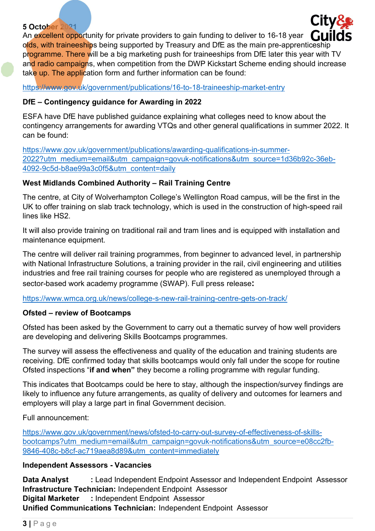#### 5 October 2021

An excellent opportunity for private providers to gain funding to deliver to 16-18 year  $\lceil \cdot \rceil$  lil olds, with traineeships being supported by Treasury and DfE as the main pre-apprenticeship programme. There will be a big marketing push for traineeships from DfE later this year with TV and radio campaigns, when competition from the DWP Kickstart Scheme ending should increase take up. The application form and further information can be found:

https://www.gov.uk/government/publications/16-to-18-traineeship-market-entry

#### DfE – Contingency guidance for Awarding in 2022

ESFA have DfE have published guidance explaining what colleges need to know about the contingency arrangements for awarding VTQs and other general qualifications in summer 2022. It can be found:

https://www.gov.uk/government/publications/awarding-qualifications-in-summer-2022?utm\_medium=email&utm\_campaign=govuk-notifications&utm\_source=1d36b92c-36eb-4092-9c5d-b8ae99a3c0f5&utm\_content=daily

#### West Midlands Combined Authority – Rail Training Centre

The centre, at City of Wolverhampton College's Wellington Road campus, will be the first in the UK to offer training on slab track technology, which is used in the construction of high-speed rail lines like HS2.

It will also provide training on traditional rail and tram lines and is equipped with installation and maintenance equipment.

The centre will deliver rail training programmes, from beginner to advanced level, in partnership with National Infrastructure Solutions, a training provider in the rail, civil engineering and utilities industries and free rail training courses for people who are registered as unemployed through a sector-based work academy programme (SWAP). Full press release:

https://www.wmca.org.uk/news/college-s-new-rail-training-centre-gets-on-track/

#### Ofsted – review of Bootcamps

Ofsted has been asked by the Government to carry out a thematic survey of how well providers are developing and delivering Skills Bootcamps programmes.

The survey will assess the effectiveness and quality of the education and training students are receiving. DfE confirmed today that skills bootcamps would only fall under the scope for routine Ofsted inspections "if and when" they become a rolling programme with regular funding.

This indicates that Bootcamps could be here to stay, although the inspection/survey findings are likely to influence any future arrangements, as quality of delivery and outcomes for learners and employers will play a large part in final Government decision.

Full announcement:

https://www.gov.uk/government/news/ofsted-to-carry-out-survey-of-effectiveness-of-skillsbootcamps?utm\_medium=email&utm\_campaign=govuk-notifications&utm\_source=e08cc2fb-9846-408c-b8cf-ac719aea8d89&utm\_content=immediately

#### Independent Assessors - Vacancies

Data Analyst : Lead Independent Endpoint Assessor and Independent Endpoint Assessor Infrastructure Technician: Independent Endpoint Assessor Digital Marketer : Independent Endpoint Assessor Unified Communications Technician: Independent Endpoint Assessor